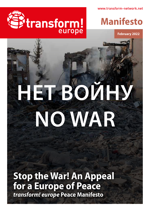www.transform-network.net





**February 2022**

# **НЕТ ВОЙНУ NO WAR**

**Stop the War! An Appeal for a Europe of Peace** *transform! europe* **Peace Manifesto**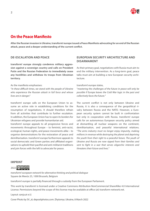

# **On the Peace Manifesto**

**After the Russian invasion in Ukraine, transform! europe issued a Peace Manifesto advocating for an end of the Russian attack, peace and a deeper understanding of the current conflict.**

## **DE-ESCALATION AND PEACE**

**transform! europe strongly condemns military aggression against a sovereign country and calls on President Putin and the Russian Federation to immediately cease any hostilities and withdraw its troops from Ukrainian territory.**

#### As the manifesto emphasises:

"*In these difficult times, we stand with the people of Ukraine who experience the Russian attack in full force and whose lives are in danger*."

transform! europe calls on the European Union to assume an active role in establishing conditions for the resumption of negotiations. It should therefore refrain from all activities that contribute to further escalation. In addition, the European Union has to open its borders for Ukrainian refugees and provide humanitarian aid.

transform! europe appeals to all progressive forces and movements throughout Europe – to feminist, anti-racist, ecological, human-rights, and peace movements alike – to organise demonstrations for the restoration of peace and demilitarisation. transform! europe furthermore appeals to social democratic and Green parties and affiliated organisations to uphold their pacifist and anti-militarist traditions and join forces with the left to advocate for peace.

# **EUROPEAN SECURITY ARCHITECTURE AND DISARMAMENT**

As their primary goal, negotiations with Russia must aim to end the military intervention. As a long-term goal, peace talks must aim at building a new European security architecture.

#### transform! europe states,

"*mastering the challenges of the future in peace will only be possible if Europe leaves the Cold War logic in the past and collectively faces the future.*"

The current conflict is not only between Ukraine and Russia, it is also a consequence of the geopolitical rivalry between Russia and the NATO. However, a European security system cannot be built in confrontation but only in cooperation with Russia. transform! europe calls for an autonomous European security policy aimed at dismantling all nuclear weapons on the continent, demilitarisation, and peaceful international relations. "*The arms industry must no longer enjoy impunity, making millions in revenue while destroying the planet and depriving the youth from their right to a peaceful future. The youth of Ukraine and Russia are now ripped from their families and sent to fight in a war that serves oligarchic interests and threatens their future and lives.*"

#### **IMPRINT**

2022 **@ 0 9 9** 

*transform! european network for alternative thinking and political dialogue* Square de Meeûs 25, 1000 Brussels, Belgium

transform! europe is partially financed through a subsidy from the European Parliament.

This work by transform! is licensed under a Creative Commons Attribution-NonCommercial-ShareAlike 4.0 International License. Permissions beyond the scope of this license may be available at office (at) transform-network.net.

Layout: sanja.at e.U.

Cover Photo by SV\_zt; depositphotos.com: Zhytomyr, Ukraine, 8 March 2022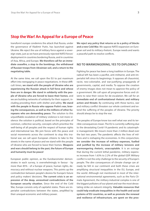# **Stop the War! An Appeal for a Europe of Peace**

transform! europe condemns the attack that Russia, under the governance of Vladimir Putin, has launched against Ukraine. We reject the use of military force against a sovereign state, just as we have previously rejected NATO forces' deployment in countries bordering Russia, and in countries of Asia, Africa, and Europe. **We therefore call for an immediate ceasefire, a stop to the bombings, the withdrawal of Russian troops from Ukrainian soil, and a return to the negotiating table.**

At the same time, we call upon the EU to put maximum effort into reengaging in peace negotiations. In these difficult times, **we stand with the people of Ukraine who are experiencing the Russian attack in full force and whose lives are in danger. We stand in solidarity with the people of Ukraine who are forced to leave their homes**, and we are building networks of solidarity for their support, including providing them with shelter and safety. **We stand with the people in Russia who oppose Putin's war, braving the consequences, as well as the millions of other Europeans who are demanding peace.** The solution to this unjustifiable escalation of military violence is not more violence: the solution is political, based on the principles of common, collective security, concepts which prioritise the well-being of all peoples and the respect of human rights and international law. We join forces with the peace and social movements across the continent to stop this irrational war, we call upon European citizens to take to the streets in the name of peace and we stand with the people of Ukraine who are forced to leave their homes. **Weapons and wars should belong to the past, the future of Europe and humanity must be peace!**

European public opinion, as the Eurobarometer demonstrates in each survey, is overwhelmingly in favour - by more than 85% - of a Europe of peace, human rights, democracy and without nuclear weapons. This points up the contradiction between people's desires for Europe's future and policy makers' decisions. **The current crisis is an expression of the deep, unresolved contradictions of the European security situation.** Since the end of the Cold War, Europe consists only of capitalist states. There are imperialist contradictions between the states, amplified by their unequal economic and military power.

**We reject any policy that returns us to a policy of blocks and a new Cold War.** We oppose NATO expansion on European soil and its military rhetoric. Europe needs and wants a peaceful path to resolve conflicts.

#### **NO TO WARMONGERING, YES TO DIPLOMACY**

Fighting for peace has been a long tradition in Europe. The radical left has been a pacifist, anti-militarist, and anti-imperialist left since its beginnings. It opposes all chauvinist, racist, neo-colonialist, and war-justifying propaganda of governments, capital, and media. To oppose the creation of enemy images does not mean to approve the policy of a government. We call upon all progressive forces and citizens to raise their voices for de-escalation. We call for an **immediate end of confrontational rhetoric and military action and threats**: By continuing with these tactics, war and military conflict threaten our whole continent and extend the suffering of the peoples of Ukraine. The priority should always be to stop the war.

The peoples of Europe know too well what war and its terrible consequences mean. The EU is currently suffering due to the devastating Covid-19 pandemic and its catastrophic management. We mourn more than 2 million dead over the last two years. The pandemic affects the lives of millions and is reshaping the economies. In this conjunction, **we consider the increase of military expenses, fuelled and justified by the increase of military tensions and warmongering rhetoric, unacceptable**. It is an outrage that during the current lethal pandemic, military expenses increase from 1.63% to 2.2% of the global GDP. Military conflict is not the only challenge to the security of Europe's people. The dire consequences of climate change can already be felt in our continent and both these crises are amplifying structural inequalities in the EU, Europe, and the world. Although not mentioned in most of the international environmental agreements, such as the Paris Climate Agreement, the military-industrial complex is one of the biggest polluters of our planet and war the most devastating strike on nature's integrity. **Valuable resources that could help eradicate inequalities in the health and social systems of EU countries, as well as promote the renewal and resilience of infrastructure, are spent on the pros-**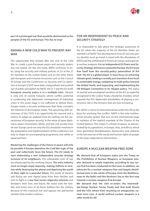

**pect of a prolonged war that would be detrimental to the peoples of the EU and Europe. This has to stop!**

## **ENDING A NEW COLD WAR TO PREVENT ANY WAR**

The opportunity that existed after the end of the Cold War to create a pan-European peace and security system was not seized. On the one hand, NATO continues to exist, tying the security and military policies of 22 of the 27 EU members to the United States; and on the other hand, pan-European and inclusive structures such as the Council of Europe and the Conference on Security and Co-operation in Europe (CSCE) have been marginalised and pushed out of public perception by NATO, the G-7 and the EU itself. **European security policy is in a multiple crisis**. Ukraine is only one of several hotspots where conflict potential is condensing and diplomatic management of individual crises in the acute stage is not sufficient to defuse them. Europe needs a security architecture that fairly considers the interests of all European states. The upcoming 50th anniversary of the CSCE is an opportunity for renewal and a chance to adopt an updated Final Act setting out the cornerstones of European security. In the sense of open diplomacy, peace movements, NGOs, and the civil society from all over Europe (and not only the EU) should be involved in the preparation and implementation of the conference not only to shape an accompanying programme, but rather as equal partners.

**Mastering the challenges of the future in peace will only be possible if Europe abandons the Cold War logic of the past and collectively faces the future. The EU needs to start elaborating a new independent security strategy inclusive of its neighbours.** The unbearable costs of war are always paid by the working classes. **The arms industry must no longer enjoy impunity, making millions in revenue while destroying the planet and depriving the youth of their right to a peaceful future.** The youth of Ukraine and Russia are now ripped away from their families and sent to fight in a **war that serves oligarchic interests** and threatens their lives and future. We stand with the families and loved ones of all those drafted into the military because of this irrational war and oppose the patriarchal mindset that invokes violence.

## **FOR AN INDEPENDENT EU PEACE AND SECURITY STRATEGY**

It is impossible to talk about the strategic autonomy of the EU when the majority of the EU Member States are members of NATO. The development of an EU security policy identity must go hand in hand with the dissolution of NATO and the withdrawal of American troops and especially nuclear weapons. **For an independent EU Peace and Security Strategy and hence a peaceful Europe, the EU must free itself from the security-policy paternalism of the USA. The EU is a global player. It must focus on achieving climate goals, leading a socially just transition from fossil to sustainable energy, realigning its trade policy towards the Global South, and respecting, and implementing the UN Refugee Convention in its refugee policy.** The status of neutral and nonaligned members of the EU, as explicitly recognised in the Lisbon Treaty, should be revisited, which expands the EU's diplomatic possibilities of playing a constructive role in the tensions that are now increasing.

We call for a return to international law under the UN as the basis for resolving this conflict. NATO is the only multinational security system that acts on the international stage in violation of the explicit mandate of the Charter of the United Nations. This makes it a threat to peace, as demonstrated by its, operations', in Europe, Asia, and Africa, which have generated destabilisation, destruction and setbacks in the full exercise of the social and human rights of people in the areas subjected to intervention.

#### **EUROPE A NUCLEAR WEAPON FREE ZONE**

**We demand that all European states join the Treaty on the Prohibition of Nuclear Weapons, as European peoples demand in ample majorities according to any survey that has been conducted on the issue. In addition, we advocate for a nuclear-weapons-free and largely demilitarised zone in the whole of Europe, from the Mediterranean to the Baltic and the Northern Sea as the first step towards a nuclear-weapons-free Europe.** 

**We demand that the USA re-enters the Intermediate-Range Nuclear Forces Treaty and that both Russia and the USA refrain from resuming an antagonistic nuclear arms race. A world without nuclear weapons is a safer world for all!**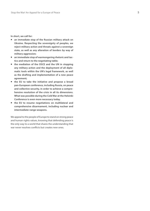**In short, we call for:** 

- **an immediate stop of the Russian military attack on Ukraine. Respecting the sovereignty of peoples, we reject military action and threats against a sovereign state, as well as any alteration of borders by way of military aggression;**
- **an immediate stop of warmongering rhetoric and tac tics and return to the negotiating table;**
- **the mediation of the OSCE and the UN in stopping any military action and the deployment of all diplo matic tools within the UN's legal framework, as well as the drafting and implementation of a new peace agreement;**
- **the EU to take the initiative and propose a broad pan-European conference, including Russia, on peace and collective security, in order to achieve a compre hensive resolution of the crisis in all its dimensions. What was possible during the Cold War at the Helsinki Conference is even more necessary today.**
- **the EU to resume negotiations on multilateral and comprehensive disarmament, including nuclear and intermediate-range weapons.**

We appeal to the people of Europe to stand on strong peace and human rights values, knowing that defending peace is the only way to a world that shares the understanding that war never resolves conflicts but creates new ones.